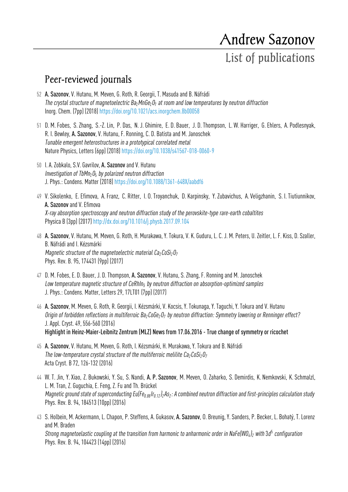# Andrew Sazonov List of publications

### Peer-reviewed journals

- 52 A. Sazonov, V. Hutanu, M. Meven, G. Roth, R. Georgii, T. Masuda and B. Náfrádi The crystal structure of magnetoelectric  $Ba_2MnGe_2O_7$  at room and low temperatures by neutron diffraction Inorg. Chem. (7pp) (2018) <https://doi.org/10.1021/acs.inorgchem.8b00058>
- 51 D. M. Fobes, S. Zhang, S.-Z. Lin, P. Das, N. J. Ghimire, E. D. Bauer, J. D. Thompson, L. W. Harriger, G. Ehlers, A. Podlesnyak, R. I. Bewley, A. Sazonov, V. Hutanu, F. Ronning, C. D. Batista and M. Janoschek Tunable emergent heterostructures in a prototypical correlated metal Nature Physics, Letters (6pp) (2018) <https://doi.org/10.1038/s41567-018-0060-9>
- 50 I. A. Zobkalo, S.V. Gavrilov, A. Sazonov and V. Hutanu Investigation of TbMn<sub>2</sub>O<sub>5</sub> by polarized neutron diffraction J. Phys.: Condens. Matter (2018) <https://doi.org/10.1088/1361-648X/aabdf6>
- 49 V. Sikolenko, E. Efimova, A. Franz, C. Ritter, I. O. Troyanchuk, D. Karpinsky, Y. Zubavichus, A. Veligzhanin, S. I. Tiutiunnikov, A. Sazonov and V. Efimova X-ray absorption spectroscopy and neutron diffraction study of the perovskite-type rare-earth cobaltites Physica B (3pp) (2017) <http://dx.doi.org/10.1016/j.physb.2017.09.104>
- 48 A. Sazonov, V. Hutanu, M. Meven, G. Roth, H. Murakawa, Y. Tokura, V. K. Guduru, L. C. J. M. Peters, U. Zeitler, L. F. Kiss, D. Szaller, B. Náfrádi and I. Kézsmárki Magnetic structure of the magnetoelectric material  $Ca_2CoSi_2O_7$ Phys. Rev. B. 95, 174431 (9pp) (2017)
- 47 D. M. Fobes, E. D. Bauer, J. D. Thompson, A. Sazonov, V. Hutanu, S. Zhang, F. Ronning and M. Janoschek Low temperature magnetic structure of CeRhIn<sub>5</sub> by neutron diffraction on absorption-optimized samples J. Phys.: Condens. Matter, Letters 29, 17LT01 (7pp) (2017)
- 46 A. Sazonov, M. Meven, G. Roth, R. Georgii, I. Kézsmárki, V. Kocsis, Y. Tokunaga, Y. Taguchi, Y. Tokura and V. Hutanu Origin of forbidden reflections in multiferroic Ba<sub>2</sub>CoGe<sub>2</sub>O<sub>7</sub> by neutron diffraction: Symmetry lowering or Renninger effect? J. Appl. Cryst. 49, 556-560 (2016) Highlight in Heinz-Maier-Leibnitz Zentrum (MLZ) News from 17.06.2016 - True change of symmetry or ricochet
- 45 A. Sazonov, V. Hutanu, M. Meven, G. Roth, I. Kézsmárki, H. Murakawa, Y. Tokura and B. Náfrádi The low-temperature crystal structure of the multiferroic melilite  $Ca_2CoSi_2O_7$ Acta Cryst. B 72, 126-132 (2016)
- 44 W. T. Jin, Y. Xiao, Z. Bukowski, Y. Su, S. Nandi, A. P. Sazonov, M. Meven, O. Zaharko, S. Demirdis, K. Nemkovski, K. Schmalzl, L. M. Tran, Z. Guguchia, E. Feng, Z. Fu and Th. Brückel Magnetic ground state of superconducting Eu(Fe<sub>0.88</sub>Ir<sub>0.12</sub>)<sub>2</sub>As<sub>2</sub>: A combined neutron diffraction and first-principles calculation study Phys. Rev. B. 94, 184513 (10pp) (2016)
- 43 S. Holbein, M. Ackermann, L. Chapon, P. Steffens, A. Gukasov, A. Sazonov, O. Breunig, Y. Sanders, P. Becker, L. Bohatý, T. Lorenz and M. Braden Strong magnetoelastic coupling at the transition from harmonic to anharmonic order in NaFe(WO<sub>4</sub>)<sub>2</sub> with 3d<sup>5</sup> configuration Phys. Rev. B. 94, 104423 (14pp) (2016)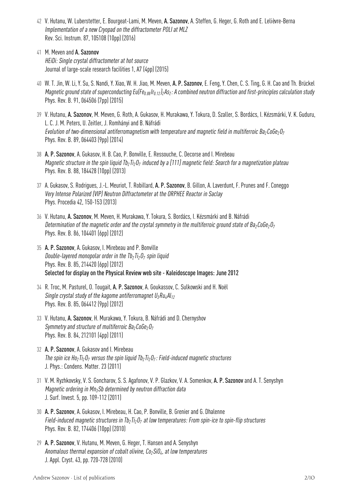- 42 V. Hutanu, W. Luberstetter, E. Bourgeat-Lami, M. Meven, A. Sazonov, A. Steffen, G. Heger, G. Roth and E. Lelièvre-Berna Implementation of a new Cryopad on the diffractometer POLI at MLZ Rev. Sci. Instrum. 87, 105108 (10pp) (2016)
- 41 M. Meven and A. Sazonov HEiDi: Single crystal diffractometer at hot source Journal of large-scale research facilities 1, A7 (4pp) (2015)
- 40 W. T. Jin, W. Li, Y. Su, S. Nandi, Y. Xiao, W. H. Jiao, M. Meven, A. P. Sazonov, E. Feng, Y. Chen, C. S. Ting, G. H. Cao and Th. Brückel Magnetic ground state of superconducting Eu(Fe<sub>0.88</sub>Ir<sub>0.12</sub>)<sub>2</sub>As<sub>2</sub>: A combined neutron diffraction and first-principles calculation study Phys. Rev. B. 91, 064506 (7pp) (2015)
- 39 V. Hutanu, A. Sazonov, M. Meven, G. Roth, A. Gukasov, H. Murakawa, Y. Tokura, D. Szaller, S. Bordács, I. Kézsmárki, V. K. Guduru, L. C. J. M. Peters, U. Zeitler, J. Romhányi and B. Náfrádi Evolution of two-dimensional antiferromagnetism with temperature and magnetic field in multiferroic Ba<sub>2</sub>CoGe<sub>2</sub>O<sub>7</sub> Phys. Rev. B. 89, 064403 (9pp) (2014)
- 38 A. P. Sazonov, A. Gukasov, H. B. Cao, P. Bonville, E. Ressouche, C. Decorse and I. Mirebeau Magnetic structure in the spin liquid Tb<sub>2</sub>Ti<sub>2</sub>O<sub>7</sub> induced by a [111] magnetic field: Search for a magnetization plateau Phys. Rev. B. 88, 184428 (10pp) (2013)
- 37 A. Gukasov, S. Rodrigues, J.-L. Meuriot, T. Robillard, A. P. Sazonov, B. Gillon, A. Laverdunt, F. Prunes and F. Coneggo Very Intense Polarized (VIP) Neutron Diffractometer at the ORPHEE Reactor in Saclay Phys. Procedia 42, 150-153 (2013)
- 36 V. Hutanu, A. Sazonov, M. Meven, H. Murakawa, Y. Tokura, S. Bordács, I. Kézsmárki and B. Náfrádi Determination of the magnetic order and the crystal symmetry in the multiferroic ground state of  $Ba_2CoGe_2O_7$ Phys. Rev. B. 86, 104401 (6pp) (2012)
- 35 A. P. Sazonov, A. Gukasov, I. Mirebeau and P. Bonville Double-layered monopolar order in the  $Tb_2Ti_2O_7$  spin liquid Phys. Rev. B. 85, 214420 (6pp) (2012) Selected for display on the Physical Review web site - Kaleidoscope Images: June 2012
- 34 R. Troc, M. Pasturel, O. Tougait, A. P. Sazonov, A. Goukassov, C. Sulkowski and H. Noël Single crystal study of the kagome antiferromagnet  $U_3Ru_4Al_{12}$ Phys. Rev. B. 85, 064412 (9pp) (2012)
- 33 V. Hutanu, A. Sazonov, H. Murakawa, Y. Tokura, B. Náfrádi and D. Chernyshov Symmetry and structure of multiferroic  $Ba_2CoGe_2O_7$ Phys. Rev. B. 84, 212101 (4pp) (2011)
- 32 A. P. Sazonov, A. Gukasov and I. Mirebeau The spin ice  $H_0$ <sub>2</sub>Ti<sub>2</sub>O<sub>7</sub> versus the spin liquid Tb<sub>2</sub>Ti<sub>2</sub>O<sub>7</sub>: Field-induced magnetic structures J. Phys.: Condens. Matter. 23 (2011)
- 31 V. M. Ryzhkovsky, V. S. Goncharov, S. S. Agafonov, V. P. Glazkov, V. A. Somenkov, A. P. Sazonov and A. T. Senyshyn Magnetic ordering in  $Mn_3Sb$  determined by neutron diffraction data J. Surf. Invest. 5, pp. 109-112 (2011)
- 30 A. P. Sazonov, A. Gukasov, I. Mirebeau, H. Cao, P. Bonville, B. Grenier and G. Dhalenne Field-induced magnetic structures in Tb<sub>2</sub>Ti<sub>2</sub>O<sub>7</sub> at low temperatures: From spin-ice to spin-flip structures Phys. Rev. B. 82, 174406 (10pp) (2010)
- 29 A. P. Sazonov, V. Hutanu, M. Meven, G. Heger, T. Hansen and A. Senyshyn Anomalous thermal expansion of cobalt olivine,  $Co_2SiO_4$ , at low temperatures J. Appl. Cryst. 43, pp. 720-728 (2010)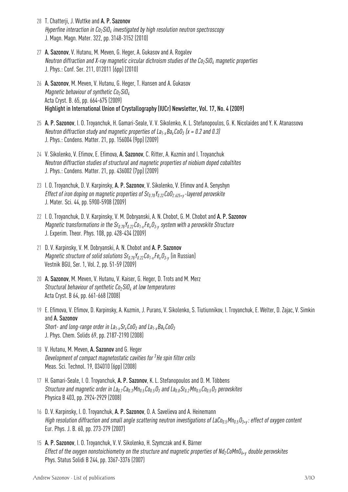- 28 T. Chatterji, J. Wuttke and A. P. Sazonov Hyperfine interaction in  $Co_2SiO_4$  investigated by high resolution neutron spectroscopy J. Magn. Magn. Mater. 322, pp. 3148-3152 (2010)
- 27 A. Sazonov, V. Hutanu, M. Meven, G. Heger, A. Gukasov and A. Rogalev Neutron diffraction and X-ray magnetic circular dichroism studies of the  $Co_2SiO_4$  magnetic properties J. Phys.: Conf. Ser. 211, 012011 (6pp) (2010)
- 26 A. Sazonov, M. Meven, V. Hutanu, G. Heger, T. Hansen and A. Gukasov Magnetic behaviour of synthetic  $Co_2SiO_4$ Acta Cryst. B. 65, pp. 664-675 (2009) Highlight in International Union of Crystallography (IUCr) Newsletter, Vol. 17, No. 4 (2009)
- 25 A. P. Sazonov, I. O. Troyanchuk, H. Gamari-Seale, V. V. Sikolenko, K. L. Stefanopoulos, G. K. Nicolaides and Y. K. Atanassova Neutron diffraction study and magnetic properties of  $La_{1-x}Ba_xCoO_3$  (x = 0.2 and 0.3) J. Phys.: Condens. Matter. 21, pp. 156004 (9pp) (2009)
- 24 V. Sikolenko, V. Efimov, E. Efimova, A. Sazonov, C. Ritter, A. Kuzmin and I. Troyanchuk Neutron diffraction studies of structural and magnetic properties of niobium doped cobaltites J. Phys.: Condens. Matter. 21, pp. 436002 (7pp) (2009)
- 23 I. O. Troyanchuk, D. V. Karpinsky, A. P. Sazonov, V. Sikolenko, V. Efimov and A. Senyshyn Effect of iron doping on magnetic properties of  $Sr_{0.78}Y_{0.22}CoO_{2.625+\gamma}$ -layered perovskite J. Mater. Sci. 44, pp. 5900-5908 (2009)
- 22 I. O. Troyanchuk, D. V. Karpinsky, V. M. Dobryanski, A. N. Chobot, G. M. Chobot and A. P. Sazonov Magnetic transformations in the  $Sr_{0.78}Y_{0.22}C_{01-x}Fe_xO_{3-y}$  system with a perovskite Structure J. Experim. Theor. Phys. 108, pp. 428-434 (2009)
- 21 D. V. Karpinsky, V. M. Dobryanski, A. N. Chobot and A. P. Sazonov Magnetic structure of solid solutions  $S_{r_{0.78}}Y_{0.22}Co_{1-x}Fe_{x}O_{3-y}$  (in Russian) Vestnik BGU, Ser. 1, Vol. 2, pp. 51-59 (2009)
- 20 A. Sazonov, M. Meven, V. Hutanu, V. Kaiser, G. Heger, D. Trots and M. Merz Structural behaviour of synthetic  $Co_2SiO_4$  at low temperatures Acta Cryst. B 64, pp. 661-668 (2008)
- 19 E. Efimova, V. Efimov, D. Karpinsky, A. Kuzmin, J. Purans, V. Sikolenko, S. Tiutiunnikov, I. Troyanchuk, E. Welter, D. Zajac, V. Simkin and A. Sazonov Short- and long-range order in  $La_{1-x}S_{r_x}Co_3$  and  $La_{1-x}Ba_xCo_3$ J. Phys. Chem. Solids 69, pp. 2187-2190 (2008)
- 18 V. Hutanu, M. Meven, A. Sazonov and G. Heger Development of compact magnetostatic cavities for <sup>3</sup> He spin filter cells Meas. Sci. Technol. 19, 034010 (6pp) (2008)
- 17 H. Gamari-Seale, I. O. Troyanchuk, A. P. Sazonov, K. L. Stefanopoulos and D. M. Többens Structure and magnetic order in  $La_{0.7}Ca_{0.3}Mn_{0.5}Co_{0.5}O_3$  and  $La_{0.8}Sr_{0.2}Mn_{0.5}Co_{0.5}O_3$  perovskites Physica B 403, pp. 2924-2929 (2008)
- 16 D. V. Karpinsky, I. O. Troyanchuk, A. P. Sazonov, O. A. Savelieva and A. Heinemann High resolution diffraction and small angle scattering neutron investigations of LaCo<sub>0.5</sub>Mn<sub>0.5</sub>O<sub>3+y</sub>: effect of oxygen content Eur. Phys. J. B. 60, pp. 273-279 (2007)
- 15 A. P. Sazonov, I. O. Troyanchuk, V. V. Sikolenko, H. Szymczak and K. Bärner Effect of the oxygen nonstoichiometry on the structure and magnetic properties of Nd<sub>2</sub>CoMnO<sub>6+v</sub> double perovskites Phys. Status Solidi B 244, pp. 3367-3376 (2007)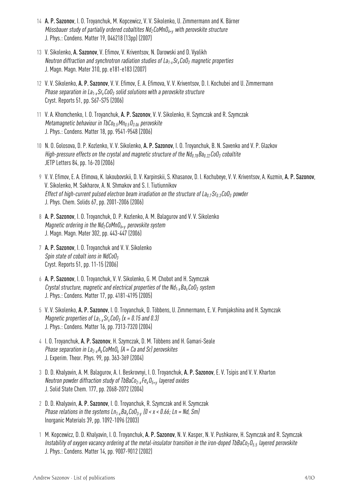- 14 A. P. Sazonov, I. O. Troyanchuk, M. Kopcewicz, V. V. Sikolenko, U. Zimmermann and K. Bärner Mössbauer study of partially ordered cobaltites  $N d_2C o M n O_{6+\nu}$  with perovskite structure J. Phys.: Condens. Matter 19, 046218 (13pp) (2007)
- 13 V. Sikolenko, A. Sazonov, V. Efimov, V. Kriventsov, N. Darowski and D. Vyalikh Neutron diffraction and synchrotron radiation studies of  $La_{1-x}Sr_xCoO_3$  magnetic properties J. Magn. Magn. Mater 310, pp. e181-e183 (2007)
- 12 V. V. Sikolenko, A. P. Sazonov, V. V. Efimov, E. A. Efimova, V. V. Kriventsov, D. I. Kochubei and U. Zimmermann Phase separation in  $La_{1-x}Sr_xCoO_3$  solid solutions with a perovskite structure Cryst. Reports 51, pp. S67-S75 (2006)
- 11 V. A. Khomchenko, I. O. Troyanchuk, A. P. Sazonov, V. V. Sikolenko, H. Szymczak and R. Szymczak Metamagnetic behaviour in TbCo $0.5Mn<sub>0.5</sub>O<sub>3.06</sub>$  perovskite J. Phys.: Condens. Matter 18, pp. 9541-9548 (2006)
- 10 N. O. Golosova, D. P. Kozlenko, V. V. Sikolenko, A. P. Sazonov, I. O. Troyanchuk, B. N. Savenko and V. P. Glazkov High-pressure effects on the crystal and magnetic structure of the  $Nd<sub>0.78</sub>Ba<sub>0.22</sub>CoO<sub>3</sub> cobaltite$ JETP Letters 84, pp. 16-20 (2006)
- 9 V. V. Efimov, E. A. Efimova, K. Iakoubovskii, D. V. Karpinskii, S. Khasanov, D. I. Kochubeye, V. V. Kriventsov, A. Kuzmin, A. P. Sazonov, V. Sikolenko, M. Sakharov, A. N. Shmakov and S. I. Tiutiunnikov Effect of high-current pulsed electron beam irradiation on the structure of  $La_{0.7}Sr_{0.3}CoO_3$  powder J. Phys. Chem. Solids 67, pp. 2001-2006 (2006)
- 8 A. P. Sazonov, I. O. Troyanchuk, D. P. Kozlenko, A. M. Balagurov and V. V. Sikolenko Magnetic ordering in the  $Nd_2CoMnO_{6+\nu}$  perovskite system J. Magn. Magn. Mater 302, pp. 443-447 (2006)
- 7 A. P. Sazonov, I. O. Troyanchuk and V. V. Sikolenko Spin state of cobalt ions in  $NdCoO<sub>3</sub>$ Cryst. Reports 51, pp. 11-15 (2006)
- 6 A. P. Sazonov, I. O. Troyanchuk, V. V. Sikolenko, G. M. Chobot and H. Szymczak Crystal structure, magnetic and electrical properties of the  $Nd_{1-x}Ba_xCoO_3$  system J. Phys.: Condens. Matter 17, pp. 4181-4195 (2005)
- 5 V. V. Sikolenko, A. P. Sazonov, I. O. Troyanchuk, D. Tˆbbens, U. Zimmermann, E. V. Pomjakshina and H. Szymczak Magnetic properties of  $La_{1-x}Sr_xCoO_3$  (x = 0.15 and 0.3) J. Phys.: Condens. Matter 16, pp. 7313-7320 (2004)
- 4 I. O. Troyanchuk, A. P. Sazonov, H. Szymczak, D. M. Többens and H. Gamari-Seale Phase separation in  $La_{2-x}A_xCoMnO_6$  (A = Ca and Sr) perovskites J. Experim. Theor. Phys. 99, pp. 363-369 (2004)
- 3 D. D. Khalyavin, A. M. Balagurov, A. I. Beskrovnyi, I. O. Troyanchuk, A. P. Sazonov, E. V. Tsipis and V. V. Kharton Neutron powder diffraction study of TbBaCo<sub>2-x</sub>Fe<sub>x</sub>O<sub>5+y</sub> layered oxides J. Solid State Chem. 177, pp. 2068-2072 (2004)
- 2 D. D. Khalyavin, A. P. Sazonov, I. O. Troyanchuk, R. Szymczak and H. Szymczak Phase relations in the systems  $Ln_{1-x}Ba_xCoO_{3-y}$  (0 < x < 0.66; Ln = Nd, Sm) Inorganic Materials 39, pp. 1092-1096 (2003)
- 1 M. Kopcewicz, D. D. Khalyavin, I. O. Troyanchuk, A. P. Sazonov, N. V. Kasper, N. V. Pushkarev, H. Szymczak and R. Szymczak Instability of oxygen vacancy ordering at the metal-insulator transition in the iron-doped TbBaCo<sub>2</sub>O<sub>5.5</sub> layered perovskite J. Phys.: Condens. Matter 14, pp. 9007-9012 (2002)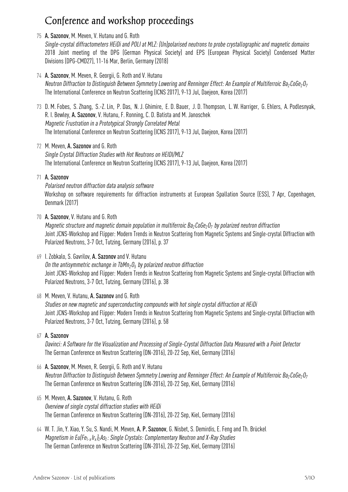## Conference and workshop proceedings

75 A. Sazonov, M. Meven, V. Hutanu and G. Roth

Single-crystal diffractometers HEiDi and POLI at MLZ: (Un)polarised neutrons to probe crystallographic and magnetic domains 2018 Joint meeting of the DPG (German Physical Society) and EPS (European Physical Society) Condensed Matter Divisions (DPG-CMD27), 11-16 Mar, Berlin, Germany (2018)

#### 74 A. Sazonov, M. Meven, R. Georgii, G. Roth and V. Hutanu

Neutron Diffraction to Distinguish Between Symmetry Lowering and Renninger Effect: An Example of Multiferroic Ba<sub>2</sub>CoGe<sub>2</sub>O<sub>7</sub> The International Conference on Neutron Scattering (ICNS 2017), 9-13 Jul, Daejeon, Korea (2017)

- 73 D. M. Fobes, S. Zhang, S.-Z. Lin, P. Das, N. J. Ghimire, E. D. Bauer, J. D. Thompson, L. W. Harriger, G. Ehlers, A. Podlesnyak, R. I. Bewley, A. Sazonov, V. Hutanu, F. Ronning, C. D. Batista and M. Janoschek Magnetic Frustration in a Prototypical Strongly Correlated Metal The International Conference on Neutron Scattering (ICNS 2017), 9-13 Jul, Daejeon, Korea (2017)
- 72 M. Meven, A. Sazonov and G. Roth Single Crystal Diffraction Studies with Hot Neutrons on HEIDI/MLZ The International Conference on Neutron Scattering (ICNS 2017), 9-13 Jul, Daejeon, Korea (2017)

### 71 A. Sazonov

Polarised neutron diffraction data analysis software Workshop on software requirements for diffraction instruments at European Spallation Source (ESS), 7 Apr, Copenhagen, Denmark (2017)

70 A. Sazonov, V. Hutanu and G. Roth

Magnetic structure and magnetic domain population in multiferroic  $Ba_2CoGe_2O_7$  by polarized neutron diffraction Joint JCNS-Workshop and Flipper: Modern Trends in Neutron Scattering from Magnetic Systems and Single-crystal Diffraction with Polarized Neutrons, 3-7 Oct, Tutzing, Germany (2016), p. 37

- 69 I. Zobkalo, S. Gavrilov, A. Sazonov and V. Hutanu On the antisymmetric exchange in TbMn<sub>2</sub>O<sub>5</sub> by polarized neutron diffraction Joint JCNS-Workshop and Flipper: Modern Trends in Neutron Scattering from Magnetic Systems and Single-crystal Diffraction with Polarized Neutrons, 3-7 Oct, Tutzing, Germany (2016), p. 38
- 68 M. Meven, V. Hutanu, A. Sazonov and G. Roth Studies on new magnetic and superconducting compounds with hot single crystal diffraction at HEiDi Joint JCNS-Workshop and Flipper: Modern Trends in Neutron Scattering from Magnetic Systems and Single-crystal Diffraction with Polarized Neutrons, 3-7 Oct, Tutzing, Germany (2016), p. 58
- 67 A. Sazonov

Davinci: A Software for the Visualization and Processing of Single-Crystal Diffraction Data Measured with a Point Detector The German Conference on Neutron Scattering (DN-2016), 20-22 Sep, Kiel, Germany (2016)

- 66 A. Sazonov, M. Meven, R. Georgii, G. Roth and V. Hutanu Neutron Diffraction to Distinguish Between Symmetry Lowering and Renninger Effect: An Example of Multiferroic Ba<sub>2</sub>CoGe<sub>2</sub>O<sub>7</sub> The German Conference on Neutron Scattering (DN-2016), 20-22 Sep, Kiel, Germany (2016)
- 65 M. Meven, A. Sazonov, V. Hutanu, G. Roth Overview of single crystal diffraction studies with HEiDi The German Conference on Neutron Scattering (DN-2016), 20-22 Sep, Kiel, Germany (2016)
- 64 W. T. Jin, Y. Xiao, Y. Su, S. Nandi, M. Meven, A. P. Sazonov, G. Nisbet, S. Demirdis, E. Feng and Th. Brückel Magnetism in Eu(Fe<sub>1-x</sub>Ir<sub>x</sub>)<sub>2</sub>As<sub>2</sub>: Single Crystals: Complementary Neutron and X-Ray Studies The German Conference on Neutron Scattering (DN-2016), 20-22 Sep, Kiel, Germany (2016)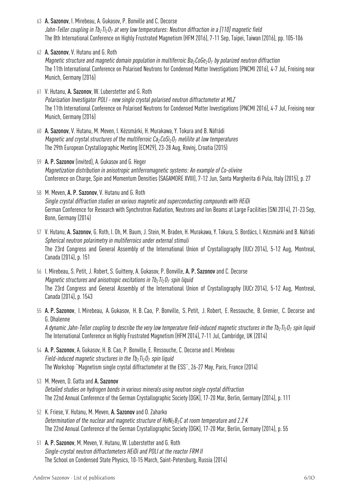- 63 A. Sazonov, I. Mirebeau, A. Gukasov, P. Bonville and C. Decorse Jahn-Teller coupling in Tb<sub>2</sub>Ti<sub>2</sub>O<sub>7</sub> at very low temperatures: Neutron diffraction in a [110] magnetic field The 8th International Conference on Highly Frustrated Magnetism (HFM 2016), 7-11 Sep, Taipei, Taiwan (2016), pp. 105-106
- 62 A. Sazonov, V. Hutanu and G. Roth

Magnetic structure and magnetic domain population in multiferroic  $Ba_2CoGe_2O_7$  by polarized neutron diffraction The 11th International Conference on Polarised Neutrons for Condensed Matter Investigations (PNCMI 2016), 4-7 Jul, Freising near Munich, Germany (2016)

- 61 V. Hutanu, A. Sazonov, W. Luberstetter and G. Roth Polarisation Investigator POLI - new single crystal polarised neutron diffractometer at MLZ The 11th International Conference on Polarised Neutrons for Condensed Matter Investigations (PNCMI 2016), 4-7 Jul, Freising near Munich, Germany (2016)
- 60 A. Sazonov, V. Hutanu, M. Meven, I. Kézsmárki, H. Murakawa, Y. Tokura and B. Náfrádi Magnetic and crystal structures of the multiferroic  $Ca_2CoSi_2O_7$  melilite at low temperatures The 29th European Crystallographic Meeting (ECM29), 23-28 Aug, Rovinj, Croatia (2015)
- 59 A. P. Sazonov (invited), A. Gukasov and G. Heger Magnetization distribution in anisotropic antiferromagnetic systems: An example of Co-olivine Conference on Charge, Spin and Momentum Densities (SAGAMORE XVIII), 7-12 Jun, Santa Margherita di Pula, Italy (2015), p. 27
- 58 M. Meven, A. P. Sazonov, V. Hutanu and G. Roth Single crystal diffraction studies on various magnetic and superconducting compounds with HEiDi German Conference for Research with Synchrotron Radiation, Neutrons and Ion Beams at Large Facilities (SNI 2014), 21-23 Sep, Bonn, Germany (2014)
- 57 V. Hutanu, A. Sazonov, G. Roth, I. Oh, M. Baum, J. Stein, M. Braden, H. Murakawa, Y. Tokura, S. Bordács, I. Kézsmárki and B. Náfrádi Spherical neutron polarimetry in multiferroics under external stimuli The 23rd Congress and General Assembly of the International Union of Crystallography (IUCr 2014), 5-12 Aug, Montreal, Canada (2014), p. 151
- 56 I. Mirebeau, S. Petit, J. Robert, S. Guitteny, A. Gukasov, P. Bonville, A. P. Sazonov and C. Decorse Magnetic structures and anisotropic excitations in  $Tb_2Ti_2O_7$  spin liquid The 23rd Congress and General Assembly of the International Union of Crystallography (IUCr 2014), 5-12 Aug, Montreal, Canada (2014), p. 1543
- 55 A. P. Sazonov, I. Mirebeau, A. Gukasov, H. B. Cao, P. Bonville, S. Petit, J. Robert, E. Ressouche, B. Grenier, C. Decorse and G. Dhalenne

A dynamic Jahn-Teller coupling to describe the very low temperature field-induced magnetic structures in the Tb<sub>2</sub>Ti<sub>2</sub>O<sub>7</sub> spin liquid The International Conference on Highly Frustrated Magnetism (HFM 2014), 7-11 Jul, Cambridge, UK (2014)

- 54 A. P. Sazonov, A. Gukasov, H. B. Cao, P. Bonville, E. Ressouche, C. Decorse and I. Mirebeau Field-induced magnetic structures in the  $Tb_2Ti_2O_7$  spin liquid The Workshop ``Magnetism single crystal diffractometer at the ESS'', 26-27 May, Paris, France (2014)
- 53 M. Meven, D. Gatta and A. Sazonov Detailed studies on hydrogen bonds in various minerals using neutron single crystal diffraction The 22nd Annual Conference of the German Crystallographic Society (DGK), 17-20 Mar, Berlin, Germany (2014), p. 111
- 52 K. Friese, V. Hutanu, M. Meven, A. Sazonov and O. Zaharko Determination of the nuclear and magnetic structure of HoNi<sub>2</sub>B<sub>2</sub>C at room temperature and 2.2 K The 22nd Annual Conference of the German Crystallographic Society (DGK), 17-20 Mar, Berlin, Germany (2014), p. 55
- 51 A. P. Sazonov, M. Meven, V. Hutanu, W. Luberstetter and G. Roth Single-crystal neutron diffractometers HEiDi and POLI at the reactor FRM II The School on Condensed State Physics, 10-15 March, Saint-Petersburg, Russia (2014)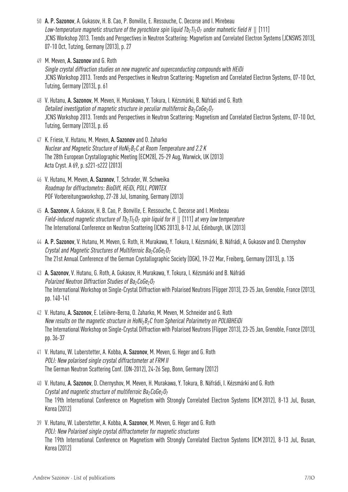- 50 A. P. Sazonov, A. Gukasov, H. B. Cao, P. Bonville, E. Ressouche, C. Decorse and I. Mirebeau Low-temperature magnetic structure of the pyrochlore spin liquid  $T_{2D}T_{12}O_7$  under mahnetic field H || [111] JCNS Workshop 2013. Trends and Perspectives in Neutron Scattering: Magnetism and Correlated Electron Systems (JCNSWS 2013), 07-10 Oct, Tutzing, Germany (2013), p. 27
- 49 M. Meven, A. Sazonov and G. Roth Single crystal diffraction studies on new magnetic and superconducting compounds with HEiDi JCNS Workshop 2013. Trends and Perspectives in Neutron Scattering: Magnetism and Correlated Electron Systems, 07-10 Oct, Tutzing, Germany (2013), p. 61
- 48 V. Hutanu, A. Sazonov, M. Meven, H. Murakawa, Y. Tokura, I. Kézsmárki, B. Náfrádi and G. Roth Detailed investigation of magnetic structure in peculiar multiferroic  $Ba_2CoGe_2O_7$ JCNS Workshop 2013. Trends and Perspectives in Neutron Scattering: Magnetism and Correlated Electron Systems, 07-10 Oct, Tutzing, Germany (2013), p. 65
- 47 K. Friese, V. Hutanu, M. Meven, A. Sazonov and O. Zaharko Nuclear and Magnetic Structure of HoNi<sub>2</sub>B<sub>2</sub>C at Room Temperature and 2.2 K The 28th European Crystallographic Meeting (ECM28), 25-29 Aug, Warwick, UK (2013) Acta Cryst. A 69, p. s221-s222 (2013)
- 46 V. Hutanu, M. Meven, A. Sazonov, T. Schrader, W. Schweika Roadmap for diffractometrs: BioDiff, HEiDi, POLI, POWTEX POF Vorbereitungsworkshop, 27-28 Jul, Ismaning, Germany (2013)
- 45 A. Sazonov, A. Gukasov, H. B. Cao, P. Bonville, E. Ressouche, C. Decorse and I. Mirebeau Field-induced magnetic structure of  $Tb_2Ti_2O_7$  spin liquid for H || [111] at very low temperature The International Conference on Neutron Scattering (ICNS 2013), 8-12 Jul, Edinburgh, UK (2013)
- 44 A. P. Sazonov, V. Hutanu, M. Meven, G. Roth, H. Murakawa, Y. Tokura, I. Kézsmárki, B. Náfrádi, A. Gukasov and D. Chernyshov Crystal and Magnetic Structures of Multiferroic  $Ba_2CoGe_2O_7$ The 21st Annual Conference of the German Crystallographic Society (DGK), 19-22 Mar, Freiberg, Germany (2013), p. 135
- 43 A. Sazonov, V. Hutanu, G. Roth, A. Gukasov, H. Murakawa, Y. Tokura, I. Kézsmárki and B. Náfrádi Polarized Neutron Diffraction Studies of  $Ba_2CoGe_2O_7$ The International Workshop on Single-Crystal Diffraction with Polarised Neutrons (Flipper 2013), 23-25 Jan, Grenoble, France (2013), pp. 140-141
- 42 V. Hutanu, A. Sazonov, E. Lelièvre-Berna, O. Zaharko, M. Meven, M. Schneider and G. Roth New results on the magnetic structure in HoNi<sub>2</sub>B<sub>2</sub>C from Spherical Polarimetry on POLI@HEiDi The International Workshop on Single-Crystal Diffraction with Polarised Neutrons (Flipper 2013), 23-25 Jan, Grenoble, France (2013), pp. 36-37
- 41 V. Hutanu, W. Luberstetter, A. Kobba, A. Sazonov, M. Meven, G. Heger and G. Roth POLI: New polarised single crystal diffractometer at FRM II The German Neutron Scattering Conf. (DN-2012), 24-26 Sep, Bonn, Germany (2012)
- 40 V. Hutanu, A. Sazonov, D. Chernyshov, M. Meyen, H. Murakawa, Y. Tokura, B. Náfrádi, I. Kézsmárki and G. Roth Crystal and magnetic structure of multiferroic  $Ba_2CoGe_2O_7$ The 19th International Conference on Magnetism with Strongly Correlated Electron Systems (ICM 2012), 8-13 Jul, Busan, Korea (2012)
- 39 V. Hutanu, W. Luberstetter, A. Kobba, A. Sazonov, M. Meven, G. Heger and G. Roth POLI: New Polarised single crystal diffractometer for magnetic structures The 19th International Conference on Magnetism with Strongly Correlated Electron Systems (ICM 2012), 8-13 Jul, Busan, Korea (2012)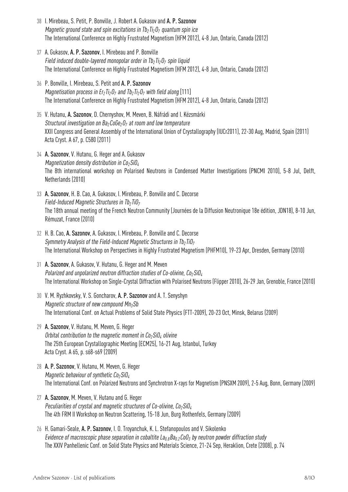- 38 I. Mirebeau, S. Petit, P. Bonville, J. Robert A. Gukasov and A. P. Sazonov Magnetic ground state and spin excitations in  $Ib_2Ti_2O_7$  quantum spin ice The International Conference on Highly Frustrated Magnetism (HFM 2012), 4-8 Jun, Ontario, Canada (2012)
- 37 A. Gukasov, A. P. Sazonov, I. Mirebeau and P. Bonville Field induced double-layered monopolar order in  $Tb_2Ti_2O_7$  spin liquid The International Conference on Highly Frustrated Magnetism (HFM 2012), 4-8 Jun, Ontario, Canada (2012)
- 36 P. Bonville, I. Mirebeau, S. Petit and A. P. Sazonov Magnetisation process in  $Er_2Ti_2O_7$  and  $Tb_2Ti_2O_7$  with field along [111] The International Conference on Highly Frustrated Magnetism (HFM 2012), 4-8 Jun, Ontario, Canada (2012)
- 35 V. Hutanu, A. Sazonov, D. Chernyshov, M. Meven, B. Náfrádi and I. Kézsmárki Structural investigation on  $Ba_2CoGe_2O_7$  at room and low temperature XXII Congress and General Assembly of the International Union of Crystallography (IUCr2011), 22-30 Aug, Madrid, Spain (2011) Acta Cryst. A 67, p. C580 (2011)
- 34 A. Sazonov, V. Hutanu, G. Heger and A. Gukasov Magnetization density distribution in  $Co<sub>2</sub>SiO<sub>4</sub>$ The 8th international workshop on Polarised Neutrons in Condensed Matter Investigations (PNCMI 2010), 5-8 Jul, Delft, Netherlands (2010)
- 33 A. Sazonov, H. B. Cao, A. Gukasov, I. Mirebeau, P. Bonville and C. Decorse Field-Induced Magnetic Structures in  $Tb<sub>2</sub>TiO<sub>7</sub>$ The 18th annual meeting of the French Neutron Community (Journées de la Diffusion Neutronique 18e édition, JDN18), 8-10 Jun, Rémuzat, France (2010)
- 32 H. B. Cao, A. Sazonov, A. Gukasov, I. Mirebeau, P. Bonville and C. Decorse Symmetry Analysis of the Field-Induced Magnetic Structures in  $Tb_2Ti0_7$ The International Workshop on Perspectives in Highly Frustrated Magnetism (PHFM10), 19-23 Apr, Dresden, Germany (2010)
- 31 A. Sazonov, A. Gukasov, V. Hutanu, G. Heger and M. Meven Polarized and unpolarized neutron diffraction studies of Co-olivine,  $Co<sub>2</sub>SiO<sub>4</sub>$ The International Workshop on Single-Crystal Diffraction with Polarised Neutrons (Flipper 2010), 26-29 Jan, Grenoble, France (2010)
- 30 V. M. Ryzhkovsky, V. S. Goncharov, A. P. Sazonov and A. T. Senyshyn Magnetic structure of new compound  $Mn_3Sb$ The International Conf. on Actual Problems of Solid State Physics (FTT-2009), 20-23 Oct, Minsk, Belarus (2009)
- 29 A. Sazonov, V. Hutanu, M. Meven, G. Heger Orbital contribution to the magnetic moment in  $Co<sub>2</sub>SiO<sub>4</sub>$  olivine The 25th European Crystallographic Meeting (ECM25), 16-21 Aug, Istanbul, Turkey Acta Cryst. A 65, p. s68-s69 (2009)
- 28 A. P. Sazonov, V. Hutanu, M. Meven, G. Heger Magnetic behaviour of synthetic  $Co<sub>2</sub>SiO<sub>4</sub>$ The International Conf. on Polarized Neutrons and Synchrotron X-rays for Magnetism (PNSXM 2009), 2-5 Aug, Bonn, Germany (2009)
- 27 A. Sazonov, M. Meven, V. Hutanu and G. Heger Peculiarities of crystal and magnetic structures of Co-olivine,  $Co<sub>2</sub>SiO<sub>4</sub>$ The 4th FRM II Workshop on Neutron Scattering, 15-18 Jun, Burg Rothenfels, Germany (2009)
- 26 H. Gamari-Seale, A. P. Sazonov, I. O. Troyanchuk, K. L. Stefanopoulos and V. Sikolenko Evidence of macroscopic phase separation in cobaltite La<sub>0.8</sub>Ba<sub>0.2</sub>CoO<sub>3</sub> by neutron powder diffraction study The XXIV Panhellenic Conf. on Solid State Physics and Materials Science, 21-24 Sep, Heraklion, Crete (2008), p. 74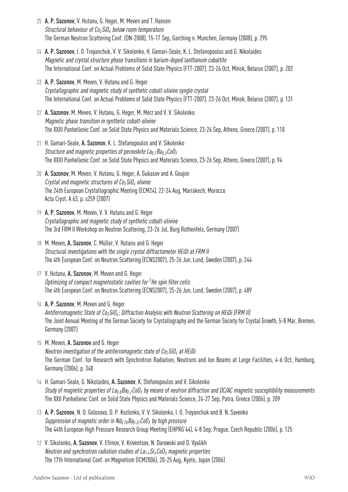- 25 A. P. Sazonov, V. Hutanu, G. Heger, M. Meven and T. Hansen Structural behaviour of  $Co<sub>2</sub>SiO<sub>4</sub>$  below room temperature The German Neutron Scattering Conf. (DN-2008), 15-17 Sep, Garching n. Munchen, Germany (2008), p. 295
- 24 A. P. Sazonov, I. O. Troyanchuk, V. V. Sikolenko, H. Gamari-Seale, K. L. Stefanopoulos and G. Nikolaides Magnetic and crystal structure phase transitions in barium-doped lanthanum cobaltite The International Conf. on Actual Problems of Solid State Physics (FTT-2007), 23-26 Oct, Minsk, Belarus (2007), p. 202
- 23 A. P. Sazonov, M. Meven, V. Hutanu and G. Heger Crystallographic and magnetic study of synthetic cobalt-olivine syngle crystal The International Conf. on Actual Problems of Solid State Physics (FTT-2007), 23-26 Oct, Minsk, Belarus (2007), p. 131
- 22 A. Sazonov, M. Meven, V. Hutanu, G. Heger, M. Merz and V. V. Sikolenko Magnetic phase transition in synthetic cobalt-olivine The XXIII Panhellenic Conf. on Solid State Physics and Materials Science, 23-26 Sep, Athens, Greece (2007), p. 110
- 21 H. Gamari-Seale, A. Sazonov, K. L. Stefanopoulos and V. Sikolenko Structure and magnetic properties of perovskite  $La<sub>0.7</sub>Ba<sub>0.3</sub>CoO<sub>3</sub>$ The XXIII Panhellenic Conf. on Solid State Physics and Materials Science, 23-26 Sep, Athens, Greece (2007), p. 94
- 20 A. Sazonov, M. Meven, V. Hutanu, G. Heger, A. Gukasov and A. Goujon Crystal and magnetic structures of  $Co<sub>2</sub>SiO<sub>4</sub>$  olivine The 24th European Crystallographic Meeting (ECM24), 22-24 Aug, Marrakech, Morocco Acta Cryst. A 63, p. s259 (2007)
- 19 A. P. Sazonov, M. Meven, V. V. Hutanu and G. Heger Crystallographic and magnetic study of synthetic cobalt-olivine The 3rd FRM II Workshop on Neutron Scattering, 23-26 Jul, Burg Rothenfels, Germany (2007)
- 18 M. Meven, A. Sazonov, C. Müller, V. Hutanu and G. Heger Structural investigations with the single crystal diffractometer HEiDi at FRM II The 4th European Conf. on Neutron Scattering (ECNS2007), 25-26 Jun, Lund, Sweden (2007), p. 244
- 17 V. Hutanu, A. Sazonov, M. Meven and G. Heger Optimizing of compact magnetostatic cavities for  $3$  He spin filter cells The 4th European Conf. on Neutron Scattering (ECNS2007), 25-26 Jun, Lund, Sweden (2007), p. 489
- 16 A. P. Sazonov, M. Meven and G. Heger Antiferromagnetic State of Co<sub>2</sub>SiO<sub>4</sub>; Diffraction Analysis with Neutron Scattering on HEiDi (FRM II) The Joint Annual Meeting of the German Society for Crystallography and the German Society for Crystal Growth, 5-8 Mar, Bremen, Germany (2007)
- 15 M. Meven, A. Sazonov and G. Heger Neutron investigation of the antiferromagnetic state of  $Co_2SiO_4$  at HEiDi The German Conf. for Research with Synchrotron Radiation, Neutrons and Ion Beams at Large Facilities, 4-6 Oct, Hamburg, Germany (2006), p. 348
- 14 H. Gamari-Seale, G. Nikolaides, A. Sazonov, K. Stefanopoulos and V. Sikolenko Study of magnetic properties of La<sub>0.8</sub>Ba<sub>0.2</sub>CoO<sub>3</sub> by means of neutron diffraction and DC/AC magnetic susceptibility measurements The XXII Panhellenic Conf. on Solid State Physics and Materials Science, 24-27 Sep, Patra, Greece (2006), p. 209
- 13 A. P. Sazonov, N. O. Golosova, D. P. Kozlenko, V. V. Sikolenko, I. O. Troyanchuk and B. N. Savenko Suppression of magnetic order in  $Nd_0$ <sub>78</sub>Ba<sub>0.22</sub>CoO<sub>3</sub> by high pressure The 44th European High Pressure Research Group Meeting (EHPRG'44), 4-8 Sep, Prague, Czech Republic (2006), p. 125
- 12 V. Sikolenko, A. Sazonov, V. Efimov, V. Kriventsov, N. Darowski and D. Vyalikh Neutron and synchrotron radiation studies of  $La_{1-x}Sr_xCo_3$  magnetic properties The 17th International Conf. on Magnetism (ICM2006), 20-25 Aug, Kyoto, Japan (2006)